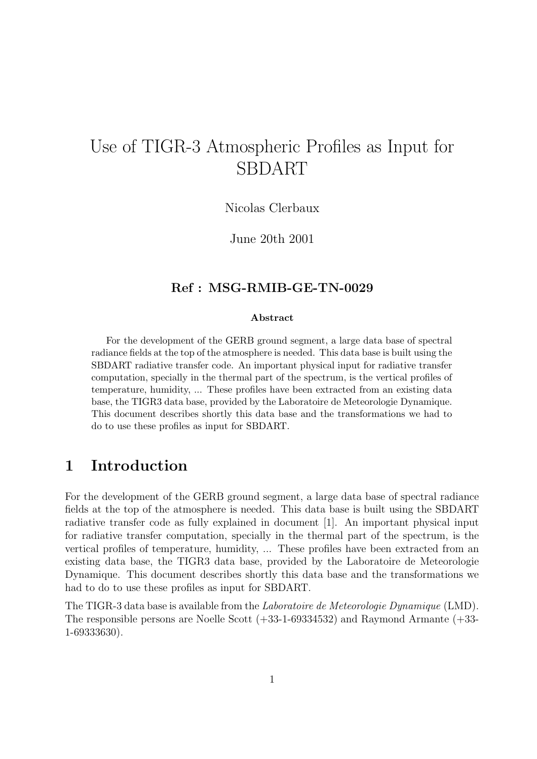# Use of TIGR-3 Atmospheric Profiles as Input for SBDART

Nicolas Clerbaux

June 20th 2001

#### Ref : MSG-RMIB-GE-TN-0029

#### Abstract

For the development of the GERB ground segment, a large data base of spectral radiance fields at the top of the atmosphere is needed. This data base is built using the SBDART radiative transfer code. An important physical input for radiative transfer computation, specially in the thermal part of the spectrum, is the vertical profiles of temperature, humidity, ... These profiles have been extracted from an existing data base, the TIGR3 data base, provided by the Laboratoire de Meteorologie Dynamique. This document describes shortly this data base and the transformations we had to do to use these profiles as input for SBDART.

#### 1 Introduction

For the development of the GERB ground segment, a large data base of spectral radiance fields at the top of the atmosphere is needed. This data base is built using the SBDART radiative transfer code as fully explained in document [1]. An important physical input for radiative transfer computation, specially in the thermal part of the spectrum, is the vertical profiles of temperature, humidity, ... These profiles have been extracted from an existing data base, the TIGR3 data base, provided by the Laboratoire de Meteorologie Dynamique. This document describes shortly this data base and the transformations we had to do to use these profiles as input for SBDART.

The TIGR-3 data base is available from the Laboratoire de Meteorologie Dynamique (LMD). The responsible persons are Noelle Scott (+33-1-69334532) and Raymond Armante (+33- 1-69333630).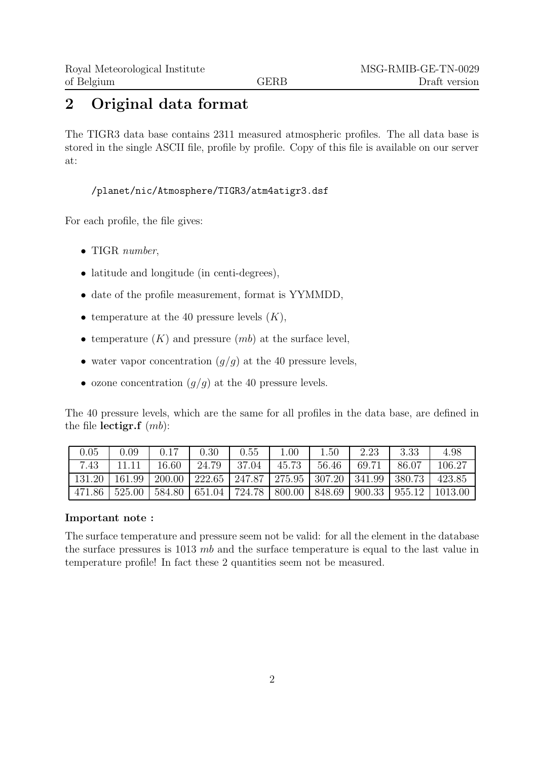### 2 Original data format

The TIGR3 data base contains 2311 measured atmospheric profiles. The all data base is stored in the single ASCII file, profile by profile. Copy of this file is available on our server at:

/planet/nic/Atmosphere/TIGR3/atm4atigr3.dsf

For each profile, the file gives:

- TIGR number,
- latitude and longitude (in centi-degrees),
- date of the profile measurement, format is YYMMDD,
- temperature at the 40 pressure levels  $(K)$ ,
- temperature  $(K)$  and pressure  $(mb)$  at the surface level,
- water vapor concentration  $(g/g)$  at the 40 pressure levels,
- ozone concentration  $(g/g)$  at the 40 pressure levels.

The 40 pressure levels, which are the same for all profiles in the data base, are defined in the file lectigr.f  $(mb)$ :

| 0.05   | 0.09   | 0.17   | 0.30                                                | 0.55   | 1.00   | 1.50   | 2.23   | 3.33   | 4.98    |
|--------|--------|--------|-----------------------------------------------------|--------|--------|--------|--------|--------|---------|
| 7.43   | 11.11  | 16.60  | 24.79                                               | 37.04  | 45.73  | 56.46  | 69.71  | 86.07  | 106.27  |
| 131.20 | 161.99 |        | 200.00   222.65   247.87   275.95   307.20   341.99 |        |        |        |        | 380.73 | 423.85  |
| 471.86 | 525.00 | 584.80 | 651.04                                              | 724.78 | 800.00 | 848.69 | 900.33 | 955.12 | 1013.00 |

#### Important note :

The surface temperature and pressure seem not be valid: for all the element in the database the surface pressures is 1013 mb and the surface temperature is equal to the last value in temperature profile! In fact these 2 quantities seem not be measured.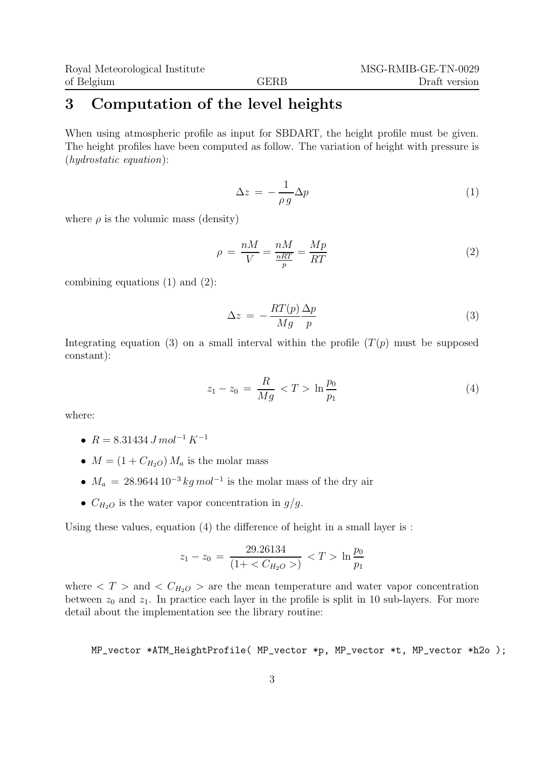#### 3 Computation of the level heights

When using atmospheric profile as input for SBDART, the height profile must be given. The height profiles have been computed as follow. The variation of height with pressure is (hydrostatic equation):

$$
\Delta z = -\frac{1}{\rho g} \Delta p \tag{1}
$$

where  $\rho$  is the volumic mass (density)

$$
\rho = \frac{nM}{V} = \frac{nM}{\frac{nRT}{p}} = \frac{Mp}{RT}
$$
\n(2)

combining equations (1) and (2):

$$
\Delta z = -\frac{RT(p)}{Mg} \frac{\Delta p}{p} \tag{3}
$$

Integrating equation (3) on a small interval within the profile  $(T(p)$  must be supposed constant):

$$
z_1 - z_0 = \frac{R}{Mg} < T > \ln \frac{p_0}{p_1} \tag{4}
$$

where:

- $R = 8.31434 \, J \, mol^{-1} \, K^{-1}$
- $M = (1 + C_{H_2O}) M_a$  is the molar mass
- $M_a = 28.9644 10^{-3} kg mol^{-1}$  is the molar mass of the dry air
- $C_{H_2O}$  is the water vapor concentration in  $g/g$ .

Using these values, equation (4) the difference of height in a small layer is :

$$
z_1 - z_0 = \frac{29.26134}{(1 + \langle C_{H_2O} \rangle)} < T > \ln \frac{p_0}{p_1}
$$

where  $\langle T \rangle$  and  $\langle C_{H_2O} \rangle$  are the mean temperature and water vapor concentration between  $z_0$  and  $z_1$ . In practice each layer in the profile is split in 10 sub-layers. For more detail about the implementation see the library routine:

MP\_vector \*ATM\_HeightProfile( MP\_vector \*p, MP\_vector \*t, MP\_vector \*h2o );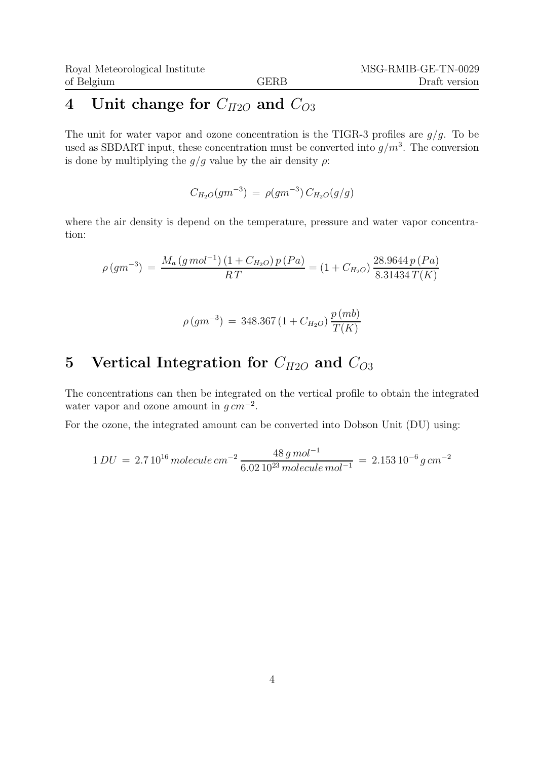## 4 Unit change for  $C_{H2O}$  and  $C_{O3}$

The unit for water vapor and ozone concentration is the TIGR-3 profiles are  $g/g$ . To be used as SBDART input, these concentration must be converted into  $g/m^3$ . The conversion is done by multiplying the  $g/g$  value by the air density  $\rho$ :

 $C_{H_2O}(gm^{-3}) = \rho(gm^{-3}) C_{H_2O}(g/g)$ 

where the air density is depend on the temperature, pressure and water vapor concentration:

$$
\rho(gm^{-3}) = \frac{M_a(g \, mol^{-1}) (1 + C_{H_2O}) p (Pa)}{RT} = (1 + C_{H_2O}) \frac{28.9644 p (Pa)}{8.31434 T(K)}
$$

$$
\rho(gm^{-3}) = 348.367 (1 + C_{H_2O}) \frac{p (mb)}{T(K)}
$$

### 5 Vertical Integration for  $C_{H2O}$  and  $C_{O3}$

The concentrations can then be integrated on the vertical profile to obtain the integrated water vapor and ozone amount in  $g \, \tilde{\,} m^{-2}$ .

For the ozone, the integrated amount can be converted into Dobson Unit (DU) using:

$$
1\,DU\,=\,2.7\,10^{16}\,molecule\,cm^{-2}\,\frac{48\,g\,mol^{-1}}{6.02\,10^{23}\,molecule\,mol^{-1}}\,=\,2.153\,10^{-6}\,g\,cm^{-2}
$$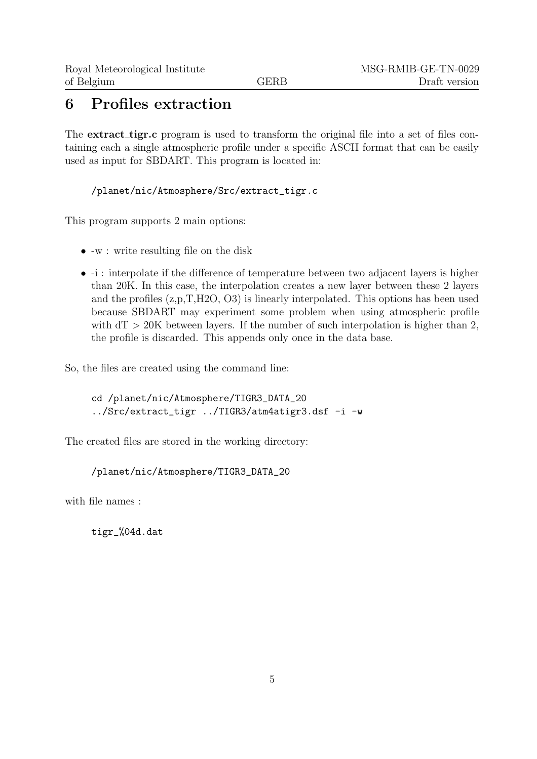#### 6 Profiles extraction

The **extract\_tigr.c** program is used to transform the original file into a set of files containing each a single atmospheric profile under a specific ASCII format that can be easily used as input for SBDART. This program is located in:

/planet/nic/Atmosphere/Src/extract\_tigr.c

This program supports 2 main options:

- -w : write resulting file on the disk
- -i : interpolate if the difference of temperature between two adjacent layers is higher than 20K. In this case, the interpolation creates a new layer between these 2 layers and the profiles (z,p,T,H2O, O3) is linearly interpolated. This options has been used because SBDART may experiment some problem when using atmospheric profile with  $dT > 20K$  between layers. If the number of such interpolation is higher than 2, the profile is discarded. This appends only once in the data base.

So, the files are created using the command line:

cd /planet/nic/Atmosphere/TIGR3\_DATA\_20 ../Src/extract\_tigr ../TIGR3/atm4atigr3.dsf -i -w

The created files are stored in the working directory:

```
/planet/nic/Atmosphere/TIGR3_DATA_20
```
with file names :

tigr\_%04d.dat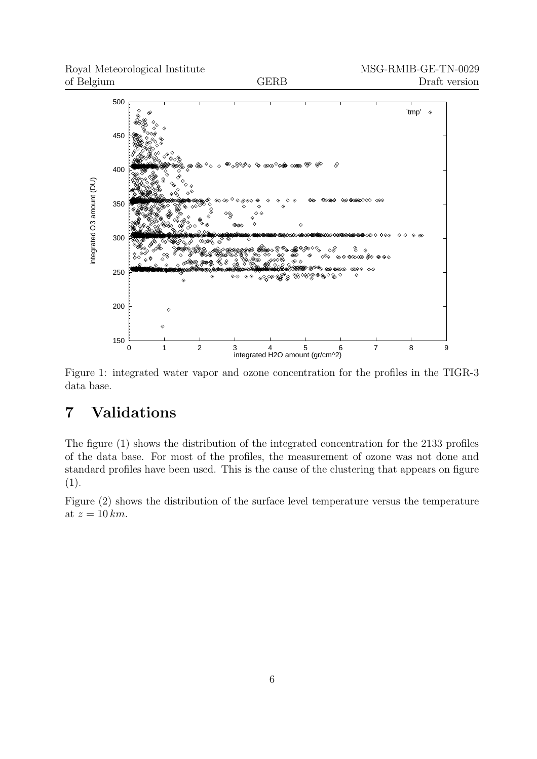

Figure 1: integrated water vapor and ozone concentration for the profiles in the TIGR-3 data base.

## 7 Validations

The figure (1) shows the distribution of the integrated concentration for the 2133 profiles of the data base. For most of the profiles, the measurement of ozone was not done and standard profiles have been used. This is the cause of the clustering that appears on figure (1).

Figure (2) shows the distribution of the surface level temperature versus the temperature at  $z = 10$  km.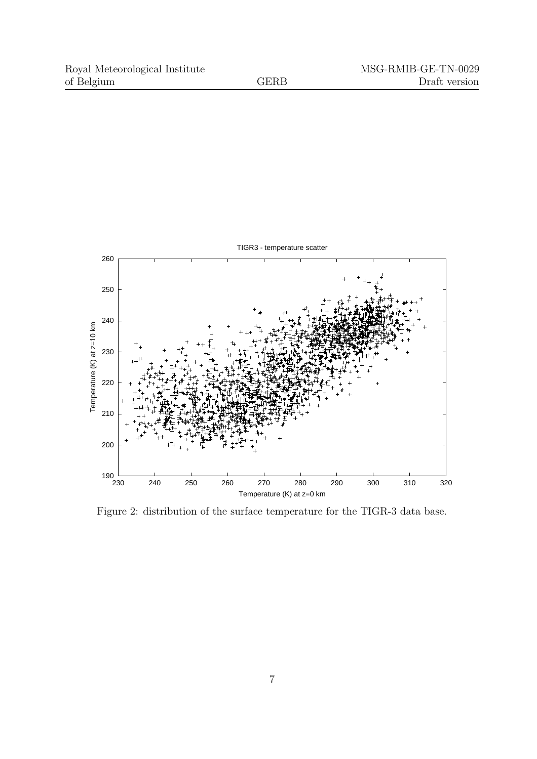

Figure 2: distribution of the surface temperature for the TIGR-3 data base.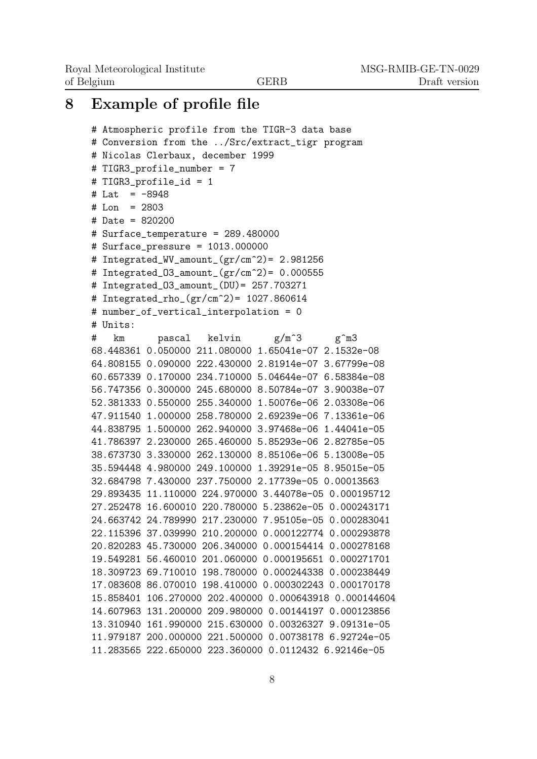MSG-RMIB-GE-TN-0029 Draft version

#### 8 Example of profile file

```
# Atmospheric profile from the TIGR-3 data base
# Conversion from the ../Src/extract_tigr program
# Nicolas Clerbaux, december 1999
# TIGR3_profile_number = 7
# TIGR3_profile_id = 1
# Lat = -8948# Lon = 2803
# Date = 820200
# Surface_temperature = 289.480000
# Surface_pressure = 1013.000000
# Integrated_WV_amount_(gr/cm^2)= 2.981256
# Integrated 03 amount (\text{gr/cm}^2) = 0.000555# Integrated_O3_amount_(DU)= 257.703271
# Integrated_rho_(gr/cm^2)= 1027.860614
# number_of_vertical_interpolation = 0
# Units:
# km pascal kelvin g/m^3 g^m3
68.448361 0.050000 211.080000 1.65041e-07 2.1532e-08
64.808155 0.090000 222.430000 2.81914e-07 3.67799e-08
60.657339 0.170000 234.710000 5.04644e-07 6.58384e-08
56.747356 0.300000 245.680000 8.50784e-07 3.90038e-07
52.381333 0.550000 255.340000 1.50076e-06 2.03308e-06
47.911540 1.000000 258.780000 2.69239e-06 7.13361e-06
44.838795 1.500000 262.940000 3.97468e-06 1.44041e-05
41.786397 2.230000 265.460000 5.85293e-06 2.82785e-05
38.673730 3.330000 262.130000 8.85106e-06 5.13008e-05
35.594448 4.980000 249.100000 1.39291e-05 8.95015e-05
32.684798 7.430000 237.750000 2.17739e-05 0.00013563
29.893435 11.110000 224.970000 3.44078e-05 0.000195712
27.252478 16.600010 220.780000 5.23862e-05 0.000243171
24.663742 24.789990 217.230000 7.95105e-05 0.000283041
22.115396 37.039990 210.200000 0.000122774 0.000293878
20.820283 45.730000 206.340000 0.000154414 0.000278168
19.549281 56.460010 201.060000 0.000195651 0.000271701
18.309723 69.710010 198.780000 0.000244338 0.000238449
17.083608 86.070010 198.410000 0.000302243 0.000170178
15.858401 106.270000 202.400000 0.000643918 0.000144604
14.607963 131.200000 209.980000 0.00144197 0.000123856
13.310940 161.990000 215.630000 0.00326327 9.09131e-05
11.979187 200.000000 221.500000 0.00738178 6.92724e-05
11.283565 222.650000 223.360000 0.0112432 6.92146e-05
```